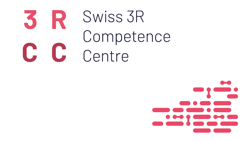

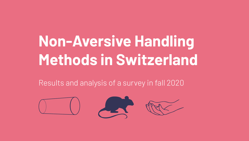# **Non-Aversive Handling Methods in Switzerland**

Results and analysis of a survey in fall 2020

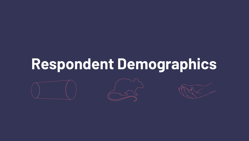# **Respondent Demographics**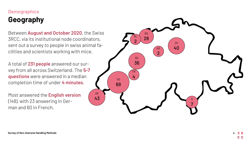# **Demographics Geography**

Between **August and October 2020**, the Swiss 3RCC, via its institutional node coordinators, sent out a survey to people in swiss animal fa cilities and scientists working with mice.

A total of **231 people** answered our sur vey from all across Switzerland. The **5-7 questions** were answered in a median completion time of under **4 minutes**.

Most answered the **English version** (148), with 23 answering in Ger man and 60 in French.

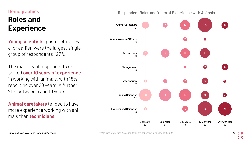# **Demographics Roles and Experience**

**Young scientists,** postdoctoral level or earlier, were the largest single group of respondents (27%).

The majority of respondents reported **over 10 years of experience** in working with animals, with 18% reporting over 20 years. A further 21% between 5 and 10 years.

**Animal caretakers** tended to have more experience working with animals than **technicians**.



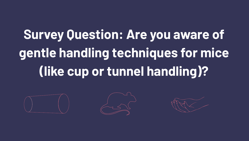# **Survey Question: Are you aware of gentle handling techniques for mice (like cup or tunnel handling)?**





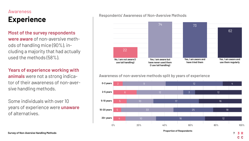#### Awareness

# **Experience**

#### **Most of the survey respondents**

**were aware** of non-aversive methods of handling mice (90%), including a majority that had actually used the methods (58%).

#### **Years of experience working with**

**animals** were not a strong indicator of their awareness of non-aversive handling methods.

Some individuals with over 10 years of experience were **unaware** of alternatives.

#### Respondents' Awareness of Non-Aversive Methods



#### Awareness of non-aversive methods split by years of experience



**Proportion of Respondents**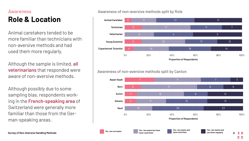## Awareness **Role & Location**

Animal caretakers tended to be more familiar than technicians with non-aversive methods and had used them more regularly.

Although the sample is limited, **all veterinarians** that responded were aware of non-aversive methods.

Although possibly due to some sampling bias, respondents working in the **French-speaking area** of Switzerland were generally more familiar than those from the German-speaking areas.

#### Awareness of non-aversive methods split by Role



Awareness of non-aversive methods split by Canton



C<sub>C</sub>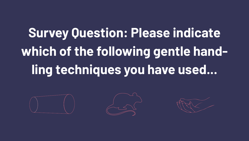# **Survey Question: Please indicate which of the following gentle handling techniques you have used...**





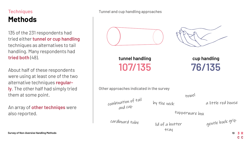## **Techniques Methods**

135 of the 231 respondents had tried either **tunnel or cup handling** techniques as alternatives to tail handling. Many respondents had **tried both** (48).

About half of these respondents were using at least one of the two alternative techniques **regularly**. The other half had simply tried them at some point.

An array of **other techniqes** were also reported.

Tunnel and cup handling approaches



**tunnel handling 107/135**

**cup handling 76/135**

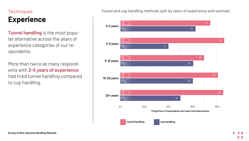# **Techniques**

# **Experience**

**Tunnel handling** is the most popular alternative across the years of experience categories of our respondents.

More than twice as many respondents with **2-5 years of experience** had tried tunnel handling compared to cup handling.

Tunnel and cup handling methods split by years of experience with animals

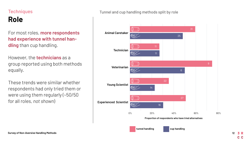# **Techniques Role**

#### For most roles, **more respondents had experience with tunnel handling** than cup handling.

However, the **technicians** as a group reported using both methods equally.

These trends were similar whether respondents had only tried them or were using them regularly (~50/50 for all roles, *not shown*)

#### Tunnel and cup handling methods split by role

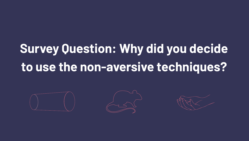# **Survey Question: Why did you decide to use the non-aversive techniques?**





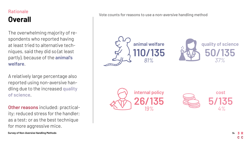# **Rationale Overall**

The overwhelming majority of respondents who reported having at least tried to alternative techniques, said they did so (at least partly), because of the **animal's welfare**.

A relatively large percentage also reported using non-aversive handling due to the increased **quality of science**.

**Other reasons** included: practicality; reduced stress for the handler; as a test; or as the best technique for more aggressive mice.

Vote counts for reasons to use a non-aversive handling method

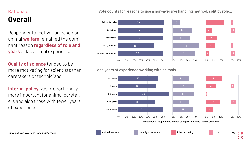## Rationale **Overall**

Respondents' motivation based on animal **welfare** remained the dominant reason **regardless of role and years** of lab animal experience.

**Quality of science** tended to be more motivating for scientists than caretakers or technicians.

**Internal policy** was proportionally more important for animal caretakers and also those with fewer years of experience

#### Vote counts for reasons to use a non-aversive handling method, split by role...



#### and years of experience working with animals

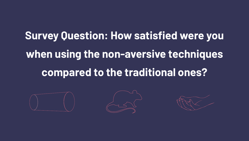# **Survey Question: How satisfied were you when using the non-aversive techniques compared to the traditional ones?**





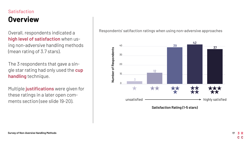#### **Satisfaction**

# **Overview**

Overall, respondents indicated a **high level of satisfaction** when using non-adversive handling methods (mean rating of 3.7 stars).

The 3 respondents that gave a single star rating had only used the **cup handling** technique.

Multiple **justifications** were given for these ratings in a later open comments section (see slide 19-20).

Respondents' satifaction ratings when using non-adversive approaches

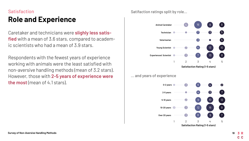# Satisfaction **Role and Experience**

Caretaker and technicians were **slighly less satisfied** with a mean of 3.6 stars, compared to academic scientists who had a mean of 3.9 stars.

Respondents with the fewest years of experience working with animals were the least satisfied with non-aversive handling methods (mean of 3.2 stars). However, those with 2-5 years of experience were **the most** (mean of 4.1 stars).

Satifaction ratings split by role...



... and years of experience

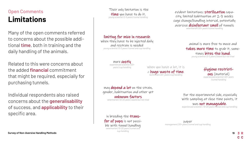## Open Comments **Limitations**

Many of the open comments referred to concerns about the possible additional **time**, both in training and the daily handling of the animals.

Related to this were concerns about the added **financial** commitment that might be required, especially for purchasing tunnels.

Individual respondents also raised concerns about the **generalisability** of success, and **applicability** to their specific area.

 Their only limitation is the **time** you have to do it. *young scientist | 2-5 years | tunnel handling*

#### limiting for mice in research

when they have to be injected daily and restrain is needed *young scientist | 0-2 years | tunnel and cup handling*

> more **costly** *experienced scientist | 20+ years | cup handling*

when you have a lot, it is a huge waste of time. *technician | 20+ years | cup handling*

may **depend a lot** on the strain, gender, habituation and other yet unknown factors *veterinarian | 10-20 years | aware but not tried*

in breeding the **trans**fer of pups is not possible with tunnel handling *veterinarian | 10-20 years | tunnel and cup handling*

evident limitations; sterilization capacity, limited habituation at 2-3 weeks cage change/handling interval, potentially aversive **disinfectant smell** of tunnels *veterinarian | 20+ years | tunnel handling*

> animal is more free to move and takes more time to grab it, sometimes **bites the hand.**<br>*young scientist | 0-2 years | aware but not tried*

## Hygiene restricti-

ons (material) *experienced scientist | 20+ years | tunnel handling*

 For the experimental side, especially with sampling at close time points, it was **not manageable.**<br> *experienced scientist* | 10-20 years | tunnel and cup handling

paper *management | 20+ years | tunnel and cup handling*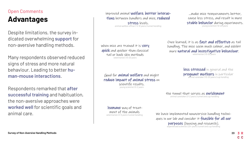# Open Comments **Advantages**

Despite limitations, the survey indicated overwhelming **support** for non-aversive handling methods.

Many respondents observed reduced signs of stress and more natural behaviour. Leading to better **human-mouse interactions**.

Respondents remarked that **after successful training** and habituation, the non-aversive approaches were **worked well** for scientific goals and animal care.

improved animal welfare, better interactions between handlers and mice, **reduced** stress levels. *animal welfare officer | 5-10 years | tunnel handling*

...make mice temperaments better, cause less stress, and result in more stable behavior during experiments. *young scientist | 10-20 years*

when mice are trained it is **very** *auick* and quicker than classical tail or back skin methods *veterinarian | 10-20 years*

Once learned, it is as fast and effective as tail handling. The mice seem much calmer, and exhibit more natural and investigative behaviour. *veterinarian | 10-20 years*

Good for **animal welfare** and might reduce impact of animal stress on less stressed in general and the pregnant mothers in particular *animal caretaker | 10-20 years | cup handling*

> the tunnel that serves as **enrichment** *animal caretaker | 0-2 years | tunnel and cup handling*

humane way of treatment of the animals *veterinarian | 2-5 years | tunnel handling*

scientific results. *young scientist | 0-2 years*

> We have implemented nonaversive handling techniques in our lab and consider it **feasible for all our** purposes (housing and research). *experienced scientist | 20+ years | tunnel and cup handling*